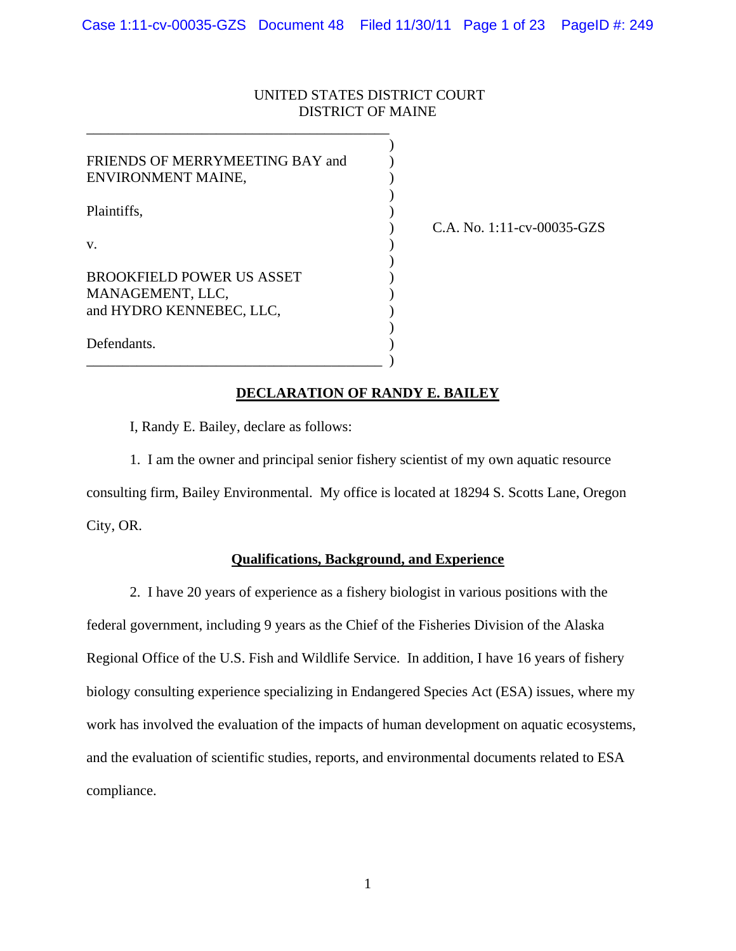## UNITED STATES DISTRICT COURT DISTRICT OF MAINE

| FRIENDS OF MERRYMEETING BAY and<br>ENVIRONMENT MAINE,                                  |  |
|----------------------------------------------------------------------------------------|--|
| Plaintiffs.                                                                            |  |
| V.<br><b>BROOKFIELD POWER US ASSET</b><br>MANAGEMENT, LLC,<br>and HYDRO KENNEBEC, LLC, |  |
|                                                                                        |  |

\_\_\_\_\_\_\_\_\_\_\_\_\_\_\_\_\_\_\_\_\_\_\_\_\_\_\_\_\_\_\_\_\_\_\_\_\_\_\_\_\_\_

) C.A. No. 1:11-cv-00035-GZS

## **DECLARATION OF RANDY E. BAILEY**

I, Randy E. Bailey, declare as follows:

 $\qquad \qquad \Box$ 

1. I am the owner and principal senior fishery scientist of my own aquatic resource consulting firm, Bailey Environmental. My office is located at 18294 S. Scotts Lane, Oregon City, OR.

## **Qualifications, Background, and Experience**

2. I have 20 years of experience as a fishery biologist in various positions with the federal government, including 9 years as the Chief of the Fisheries Division of the Alaska Regional Office of the U.S. Fish and Wildlife Service. In addition, I have 16 years of fishery biology consulting experience specializing in Endangered Species Act (ESA) issues, where my work has involved the evaluation of the impacts of human development on aquatic ecosystems, and the evaluation of scientific studies, reports, and environmental documents related to ESA compliance.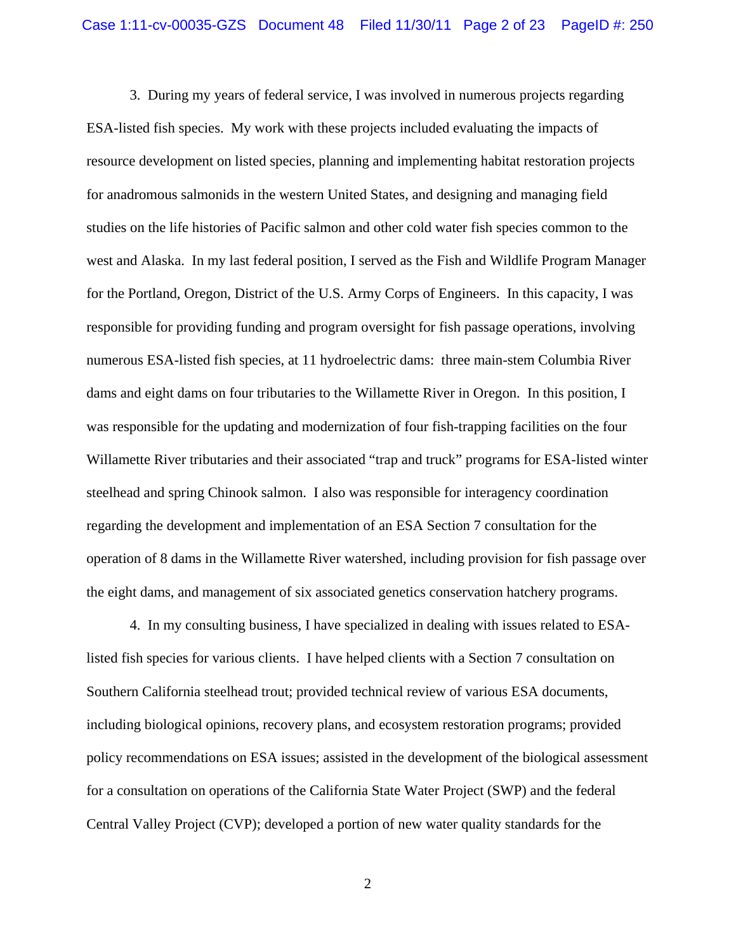3. During my years of federal service, I was involved in numerous projects regarding ESA-listed fish species. My work with these projects included evaluating the impacts of resource development on listed species, planning and implementing habitat restoration projects for anadromous salmonids in the western United States, and designing and managing field studies on the life histories of Pacific salmon and other cold water fish species common to the west and Alaska. In my last federal position, I served as the Fish and Wildlife Program Manager for the Portland, Oregon, District of the U.S. Army Corps of Engineers. In this capacity, I was responsible for providing funding and program oversight for fish passage operations, involving numerous ESA-listed fish species, at 11 hydroelectric dams: three main-stem Columbia River dams and eight dams on four tributaries to the Willamette River in Oregon. In this position, I was responsible for the updating and modernization of four fish-trapping facilities on the four Willamette River tributaries and their associated "trap and truck" programs for ESA-listed winter steelhead and spring Chinook salmon. I also was responsible for interagency coordination regarding the development and implementation of an ESA Section 7 consultation for the operation of 8 dams in the Willamette River watershed, including provision for fish passage over the eight dams, and management of six associated genetics conservation hatchery programs.

4. In my consulting business, I have specialized in dealing with issues related to ESAlisted fish species for various clients. I have helped clients with a Section 7 consultation on Southern California steelhead trout; provided technical review of various ESA documents, including biological opinions, recovery plans, and ecosystem restoration programs; provided policy recommendations on ESA issues; assisted in the development of the biological assessment for a consultation on operations of the California State Water Project (SWP) and the federal Central Valley Project (CVP); developed a portion of new water quality standards for the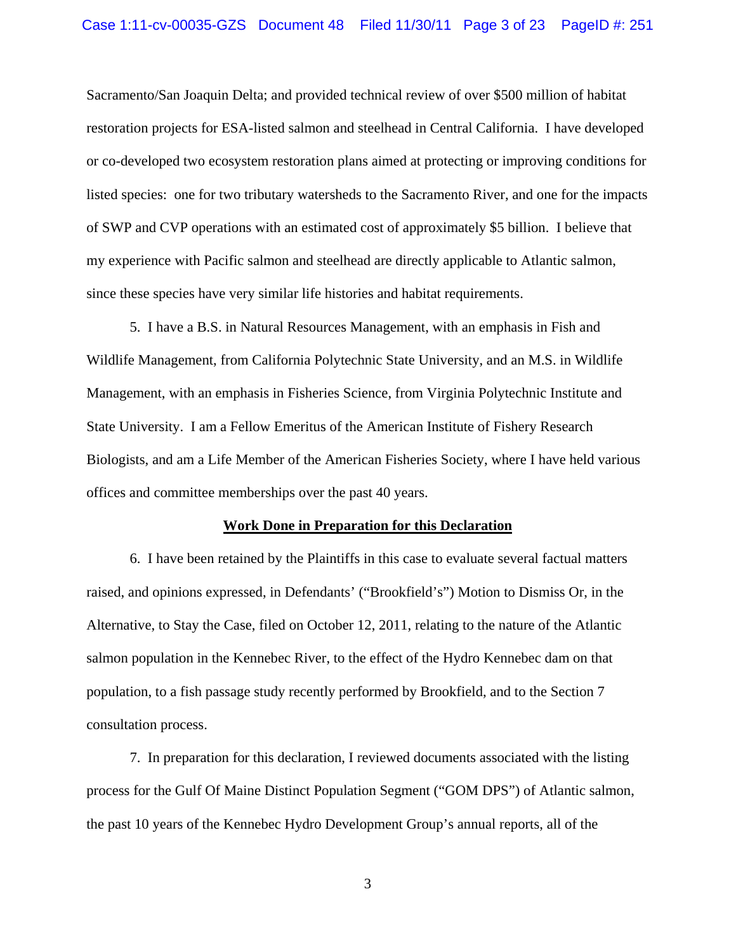Sacramento/San Joaquin Delta; and provided technical review of over \$500 million of habitat restoration projects for ESA-listed salmon and steelhead in Central California. I have developed or co-developed two ecosystem restoration plans aimed at protecting or improving conditions for listed species: one for two tributary watersheds to the Sacramento River, and one for the impacts of SWP and CVP operations with an estimated cost of approximately \$5 billion. I believe that my experience with Pacific salmon and steelhead are directly applicable to Atlantic salmon, since these species have very similar life histories and habitat requirements.

5. I have a B.S. in Natural Resources Management, with an emphasis in Fish and Wildlife Management, from California Polytechnic State University, and an M.S. in Wildlife Management, with an emphasis in Fisheries Science, from Virginia Polytechnic Institute and State University. I am a Fellow Emeritus of the American Institute of Fishery Research Biologists, and am a Life Member of the American Fisheries Society, where I have held various offices and committee memberships over the past 40 years.

#### **Work Done in Preparation for this Declaration**

6. I have been retained by the Plaintiffs in this case to evaluate several factual matters raised, and opinions expressed, in Defendants' ("Brookfield's") Motion to Dismiss Or, in the Alternative, to Stay the Case, filed on October 12, 2011, relating to the nature of the Atlantic salmon population in the Kennebec River, to the effect of the Hydro Kennebec dam on that population, to a fish passage study recently performed by Brookfield, and to the Section 7 consultation process.

7. In preparation for this declaration, I reviewed documents associated with the listing process for the Gulf Of Maine Distinct Population Segment ("GOM DPS") of Atlantic salmon, the past 10 years of the Kennebec Hydro Development Group's annual reports, all of the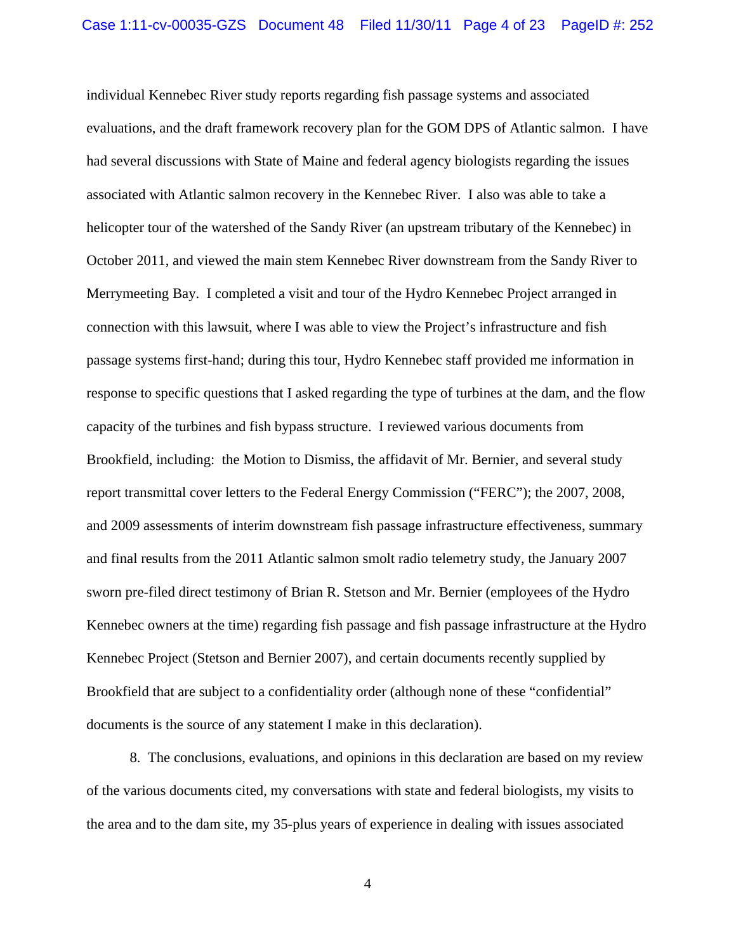individual Kennebec River study reports regarding fish passage systems and associated evaluations, and the draft framework recovery plan for the GOM DPS of Atlantic salmon. I have had several discussions with State of Maine and federal agency biologists regarding the issues associated with Atlantic salmon recovery in the Kennebec River. I also was able to take a helicopter tour of the watershed of the Sandy River (an upstream tributary of the Kennebec) in October 2011, and viewed the main stem Kennebec River downstream from the Sandy River to Merrymeeting Bay. I completed a visit and tour of the Hydro Kennebec Project arranged in connection with this lawsuit, where I was able to view the Project's infrastructure and fish passage systems first-hand; during this tour, Hydro Kennebec staff provided me information in response to specific questions that I asked regarding the type of turbines at the dam, and the flow capacity of the turbines and fish bypass structure. I reviewed various documents from Brookfield, including: the Motion to Dismiss, the affidavit of Mr. Bernier, and several study report transmittal cover letters to the Federal Energy Commission ("FERC"); the 2007, 2008, and 2009 assessments of interim downstream fish passage infrastructure effectiveness, summary and final results from the 2011 Atlantic salmon smolt radio telemetry study, the January 2007 sworn pre-filed direct testimony of Brian R. Stetson and Mr. Bernier (employees of the Hydro Kennebec owners at the time) regarding fish passage and fish passage infrastructure at the Hydro Kennebec Project (Stetson and Bernier 2007), and certain documents recently supplied by Brookfield that are subject to a confidentiality order (although none of these "confidential" documents is the source of any statement I make in this declaration).

8. The conclusions, evaluations, and opinions in this declaration are based on my review of the various documents cited, my conversations with state and federal biologists, my visits to the area and to the dam site, my 35-plus years of experience in dealing with issues associated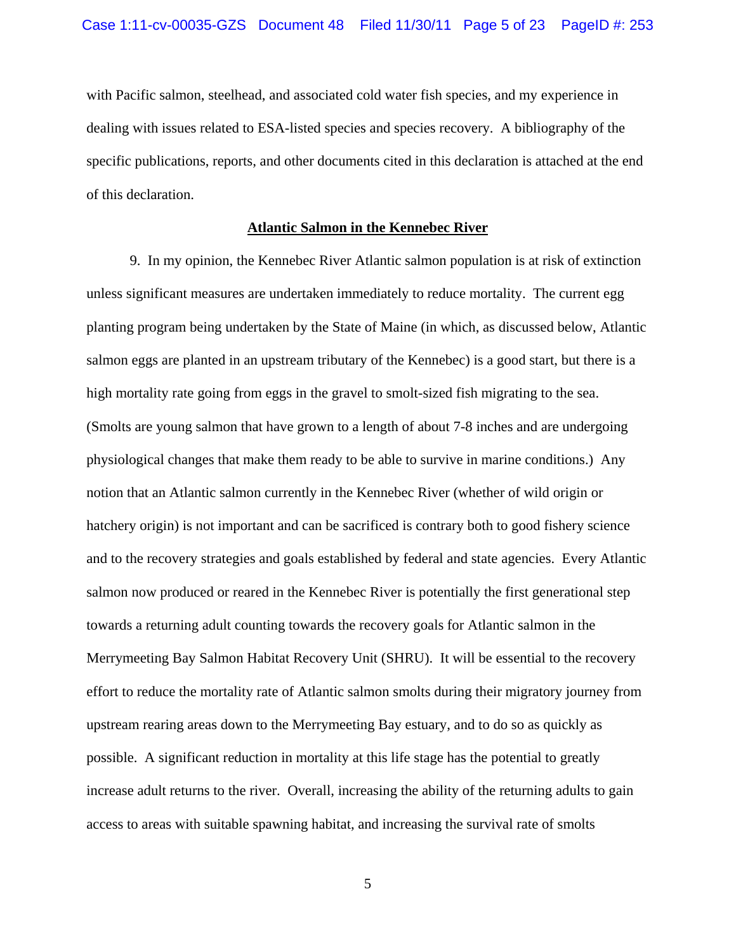with Pacific salmon, steelhead, and associated cold water fish species, and my experience in dealing with issues related to ESA-listed species and species recovery. A bibliography of the specific publications, reports, and other documents cited in this declaration is attached at the end of this declaration.

### **Atlantic Salmon in the Kennebec River**

9. In my opinion, the Kennebec River Atlantic salmon population is at risk of extinction unless significant measures are undertaken immediately to reduce mortality. The current egg planting program being undertaken by the State of Maine (in which, as discussed below, Atlantic salmon eggs are planted in an upstream tributary of the Kennebec) is a good start, but there is a high mortality rate going from eggs in the gravel to smolt-sized fish migrating to the sea. (Smolts are young salmon that have grown to a length of about 7-8 inches and are undergoing physiological changes that make them ready to be able to survive in marine conditions.) Any notion that an Atlantic salmon currently in the Kennebec River (whether of wild origin or hatchery origin) is not important and can be sacrificed is contrary both to good fishery science and to the recovery strategies and goals established by federal and state agencies. Every Atlantic salmon now produced or reared in the Kennebec River is potentially the first generational step towards a returning adult counting towards the recovery goals for Atlantic salmon in the Merrymeeting Bay Salmon Habitat Recovery Unit (SHRU). It will be essential to the recovery effort to reduce the mortality rate of Atlantic salmon smolts during their migratory journey from upstream rearing areas down to the Merrymeeting Bay estuary, and to do so as quickly as possible. A significant reduction in mortality at this life stage has the potential to greatly increase adult returns to the river. Overall, increasing the ability of the returning adults to gain access to areas with suitable spawning habitat, and increasing the survival rate of smolts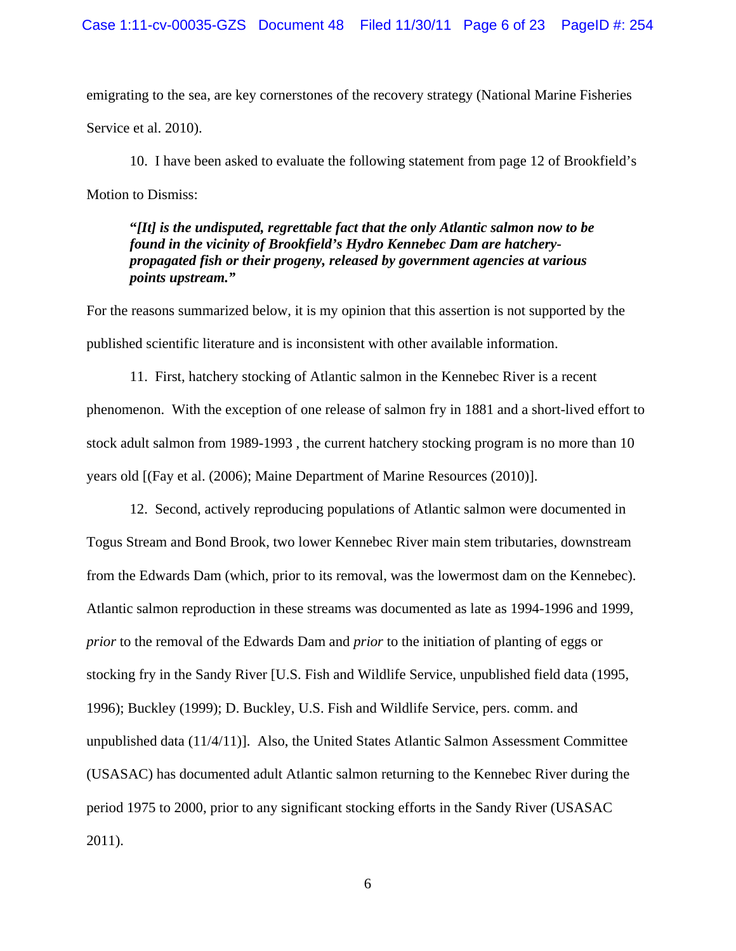emigrating to the sea, are key cornerstones of the recovery strategy (National Marine Fisheries Service et al. 2010).

10. I have been asked to evaluate the following statement from page 12 of Brookfield's Motion to Dismiss:

**"***[It] is the undisputed, regrettable fact that the only Atlantic salmon now to be found in the vicinity of Brookfield's Hydro Kennebec Dam are hatcherypropagated fish or their progeny, released by government agencies at various points upstream."*

For the reasons summarized below, it is my opinion that this assertion is not supported by the published scientific literature and is inconsistent with other available information.

11. First, hatchery stocking of Atlantic salmon in the Kennebec River is a recent phenomenon. With the exception of one release of salmon fry in 1881 and a short-lived effort to stock adult salmon from 1989-1993 , the current hatchery stocking program is no more than 10 years old [(Fay et al. (2006); Maine Department of Marine Resources (2010)].

 12. Second, actively reproducing populations of Atlantic salmon were documented in Togus Stream and Bond Brook, two lower Kennebec River main stem tributaries, downstream from the Edwards Dam (which, prior to its removal, was the lowermost dam on the Kennebec). Atlantic salmon reproduction in these streams was documented as late as 1994-1996 and 1999, *prior* to the removal of the Edwards Dam and *prior* to the initiation of planting of eggs or stocking fry in the Sandy River [U.S. Fish and Wildlife Service, unpublished field data (1995, 1996); Buckley (1999); D. Buckley, U.S. Fish and Wildlife Service, pers. comm. and unpublished data (11/4/11)]. Also, the United States Atlantic Salmon Assessment Committee (USASAC) has documented adult Atlantic salmon returning to the Kennebec River during the period 1975 to 2000, prior to any significant stocking efforts in the Sandy River (USASAC 2011).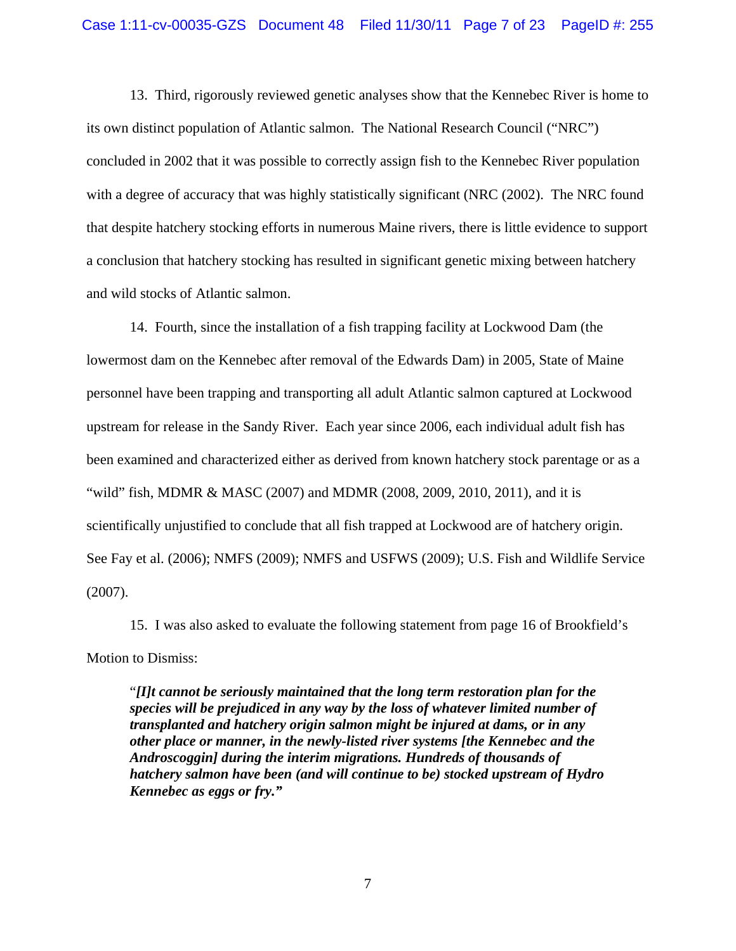13. Third, rigorously reviewed genetic analyses show that the Kennebec River is home to its own distinct population of Atlantic salmon. The National Research Council ("NRC") concluded in 2002 that it was possible to correctly assign fish to the Kennebec River population with a degree of accuracy that was highly statistically significant (NRC (2002). The NRC found that despite hatchery stocking efforts in numerous Maine rivers, there is little evidence to support a conclusion that hatchery stocking has resulted in significant genetic mixing between hatchery and wild stocks of Atlantic salmon.

 14. Fourth, since the installation of a fish trapping facility at Lockwood Dam (the lowermost dam on the Kennebec after removal of the Edwards Dam) in 2005, State of Maine personnel have been trapping and transporting all adult Atlantic salmon captured at Lockwood upstream for release in the Sandy River. Each year since 2006, each individual adult fish has been examined and characterized either as derived from known hatchery stock parentage or as a "wild" fish, MDMR & MASC (2007) and MDMR (2008, 2009, 2010, 2011), and it is scientifically unjustified to conclude that all fish trapped at Lockwood are of hatchery origin. See Fay et al. (2006); NMFS (2009); NMFS and USFWS (2009); U.S. Fish and Wildlife Service (2007).

 15. I was also asked to evaluate the following statement from page 16 of Brookfield's Motion to Dismiss:

"*[I]t cannot be seriously maintained that the long term restoration plan for the species will be prejudiced in any way by the loss of whatever limited number of transplanted and hatchery origin salmon might be injured at dams, or in any other place or manner, in the newly-listed river systems [the Kennebec and the Androscoggin] during the interim migrations. Hundreds of thousands of hatchery salmon have been (and will continue to be) stocked upstream of Hydro Kennebec as eggs or fry."*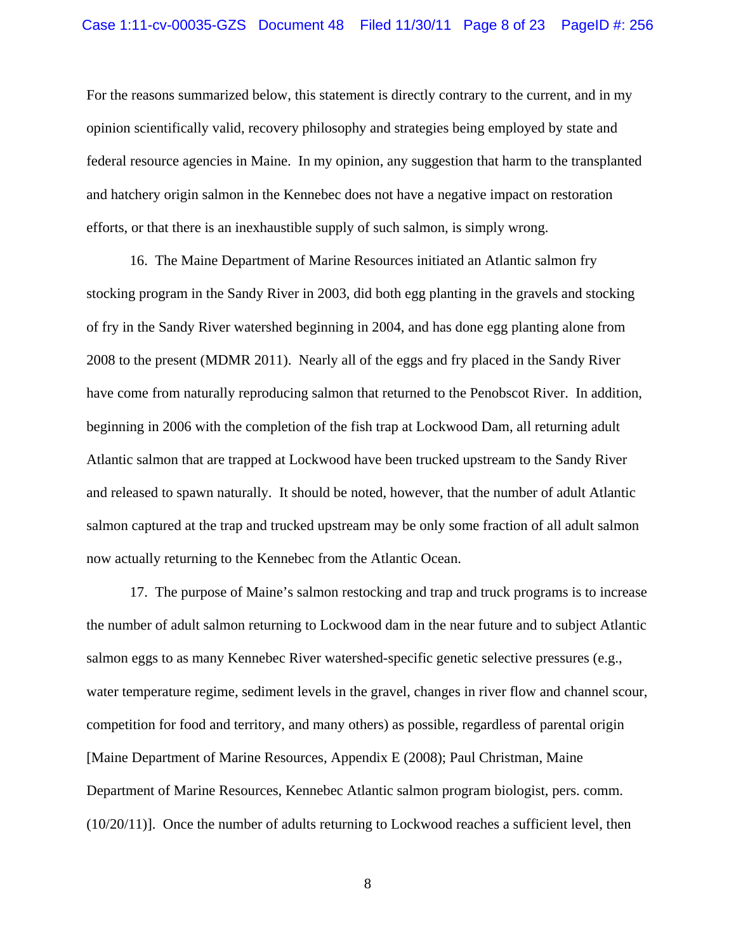For the reasons summarized below, this statement is directly contrary to the current, and in my opinion scientifically valid, recovery philosophy and strategies being employed by state and federal resource agencies in Maine. In my opinion, any suggestion that harm to the transplanted and hatchery origin salmon in the Kennebec does not have a negative impact on restoration efforts, or that there is an inexhaustible supply of such salmon, is simply wrong.

 16. The Maine Department of Marine Resources initiated an Atlantic salmon fry stocking program in the Sandy River in 2003, did both egg planting in the gravels and stocking of fry in the Sandy River watershed beginning in 2004, and has done egg planting alone from 2008 to the present (MDMR 2011). Nearly all of the eggs and fry placed in the Sandy River have come from naturally reproducing salmon that returned to the Penobscot River. In addition, beginning in 2006 with the completion of the fish trap at Lockwood Dam, all returning adult Atlantic salmon that are trapped at Lockwood have been trucked upstream to the Sandy River and released to spawn naturally. It should be noted, however, that the number of adult Atlantic salmon captured at the trap and trucked upstream may be only some fraction of all adult salmon now actually returning to the Kennebec from the Atlantic Ocean.

 17. The purpose of Maine's salmon restocking and trap and truck programs is to increase the number of adult salmon returning to Lockwood dam in the near future and to subject Atlantic salmon eggs to as many Kennebec River watershed-specific genetic selective pressures (e.g., water temperature regime, sediment levels in the gravel, changes in river flow and channel scour, competition for food and territory, and many others) as possible, regardless of parental origin [Maine Department of Marine Resources, Appendix E (2008); Paul Christman, Maine Department of Marine Resources, Kennebec Atlantic salmon program biologist, pers. comm.  $(10/20/11)$ . Once the number of adults returning to Lockwood reaches a sufficient level, then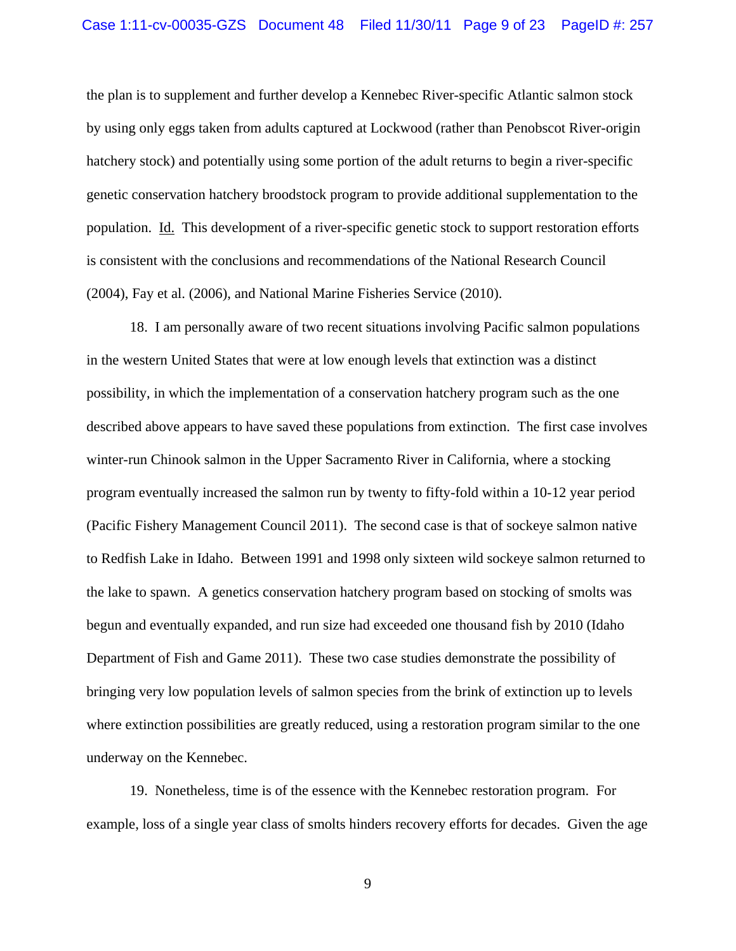the plan is to supplement and further develop a Kennebec River-specific Atlantic salmon stock by using only eggs taken from adults captured at Lockwood (rather than Penobscot River-origin hatchery stock) and potentially using some portion of the adult returns to begin a river-specific genetic conservation hatchery broodstock program to provide additional supplementation to the population. Id. This development of a river-specific genetic stock to support restoration efforts is consistent with the conclusions and recommendations of the National Research Council (2004), Fay et al. (2006), and National Marine Fisheries Service (2010).

 18. I am personally aware of two recent situations involving Pacific salmon populations in the western United States that were at low enough levels that extinction was a distinct possibility, in which the implementation of a conservation hatchery program such as the one described above appears to have saved these populations from extinction. The first case involves winter-run Chinook salmon in the Upper Sacramento River in California, where a stocking program eventually increased the salmon run by twenty to fifty-fold within a 10-12 year period (Pacific Fishery Management Council 2011). The second case is that of sockeye salmon native to Redfish Lake in Idaho. Between 1991 and 1998 only sixteen wild sockeye salmon returned to the lake to spawn. A genetics conservation hatchery program based on stocking of smolts was begun and eventually expanded, and run size had exceeded one thousand fish by 2010 (Idaho Department of Fish and Game 2011). These two case studies demonstrate the possibility of bringing very low population levels of salmon species from the brink of extinction up to levels where extinction possibilities are greatly reduced, using a restoration program similar to the one underway on the Kennebec.

 19. Nonetheless, time is of the essence with the Kennebec restoration program. For example, loss of a single year class of smolts hinders recovery efforts for decades. Given the age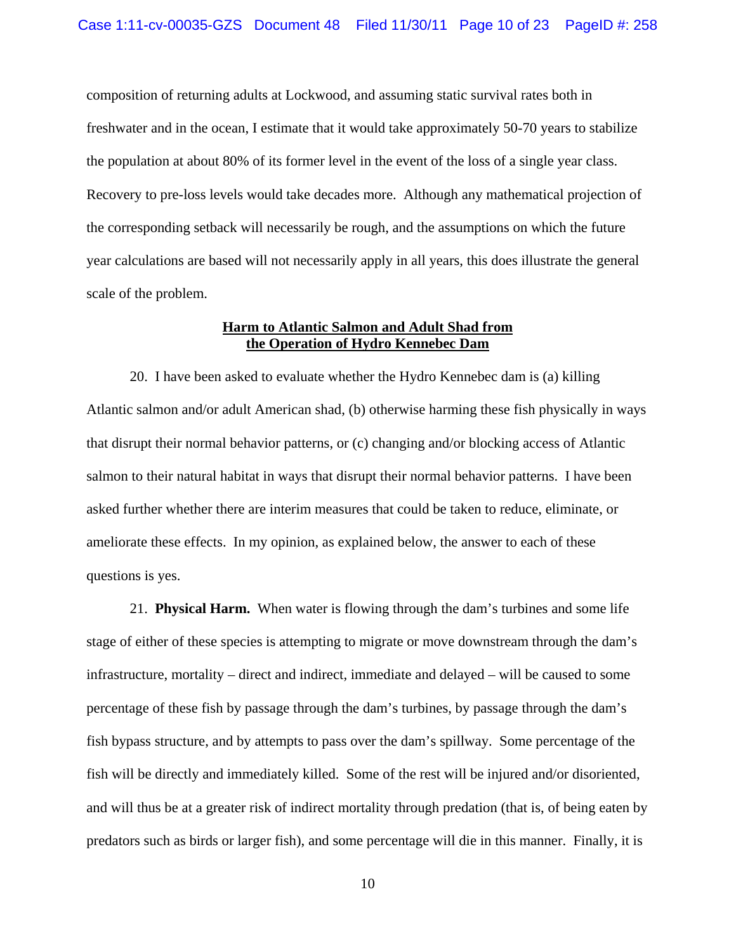composition of returning adults at Lockwood, and assuming static survival rates both in freshwater and in the ocean, I estimate that it would take approximately 50-70 years to stabilize the population at about 80% of its former level in the event of the loss of a single year class. Recovery to pre-loss levels would take decades more. Although any mathematical projection of the corresponding setback will necessarily be rough, and the assumptions on which the future year calculations are based will not necessarily apply in all years, this does illustrate the general scale of the problem.

### **Harm to Atlantic Salmon and Adult Shad from the Operation of Hydro Kennebec Dam**

 20. I have been asked to evaluate whether the Hydro Kennebec dam is (a) killing Atlantic salmon and/or adult American shad, (b) otherwise harming these fish physically in ways that disrupt their normal behavior patterns, or (c) changing and/or blocking access of Atlantic salmon to their natural habitat in ways that disrupt their normal behavior patterns. I have been asked further whether there are interim measures that could be taken to reduce, eliminate, or ameliorate these effects. In my opinion, as explained below, the answer to each of these questions is yes.

 21. **Physical Harm.** When water is flowing through the dam's turbines and some life stage of either of these species is attempting to migrate or move downstream through the dam's infrastructure, mortality – direct and indirect, immediate and delayed – will be caused to some percentage of these fish by passage through the dam's turbines, by passage through the dam's fish bypass structure, and by attempts to pass over the dam's spillway. Some percentage of the fish will be directly and immediately killed. Some of the rest will be injured and/or disoriented, and will thus be at a greater risk of indirect mortality through predation (that is, of being eaten by predators such as birds or larger fish), and some percentage will die in this manner. Finally, it is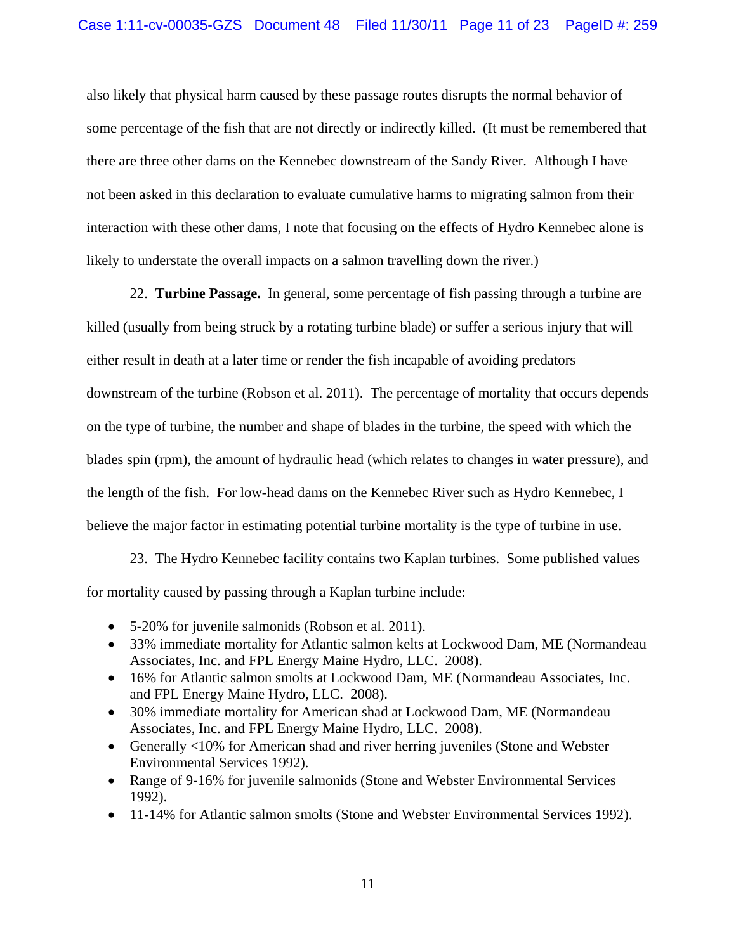also likely that physical harm caused by these passage routes disrupts the normal behavior of some percentage of the fish that are not directly or indirectly killed. (It must be remembered that there are three other dams on the Kennebec downstream of the Sandy River. Although I have not been asked in this declaration to evaluate cumulative harms to migrating salmon from their interaction with these other dams, I note that focusing on the effects of Hydro Kennebec alone is likely to understate the overall impacts on a salmon travelling down the river.)

 22. **Turbine Passage.** In general, some percentage of fish passing through a turbine are killed (usually from being struck by a rotating turbine blade) or suffer a serious injury that will either result in death at a later time or render the fish incapable of avoiding predators downstream of the turbine (Robson et al. 2011). The percentage of mortality that occurs depends on the type of turbine, the number and shape of blades in the turbine, the speed with which the blades spin (rpm), the amount of hydraulic head (which relates to changes in water pressure), and the length of the fish. For low-head dams on the Kennebec River such as Hydro Kennebec, I believe the major factor in estimating potential turbine mortality is the type of turbine in use.

 23. The Hydro Kennebec facility contains two Kaplan turbines. Some published values for mortality caused by passing through a Kaplan turbine include:

- 5-20% for juvenile salmonids (Robson et al. 2011).
- 33% immediate mortality for Atlantic salmon kelts at Lockwood Dam, ME (Normandeau Associates, Inc. and FPL Energy Maine Hydro, LLC. 2008).
- 16% for Atlantic salmon smolts at Lockwood Dam, ME (Normandeau Associates, Inc. and FPL Energy Maine Hydro, LLC. 2008).
- 30% immediate mortality for American shad at Lockwood Dam, ME (Normandeau Associates, Inc. and FPL Energy Maine Hydro, LLC. 2008).
- Generally <10% for American shad and river herring juveniles (Stone and Webster Environmental Services 1992).
- Range of 9-16% for juvenile salmonids (Stone and Webster Environmental Services 1992).
- 11-14% for Atlantic salmon smolts (Stone and Webster Environmental Services 1992).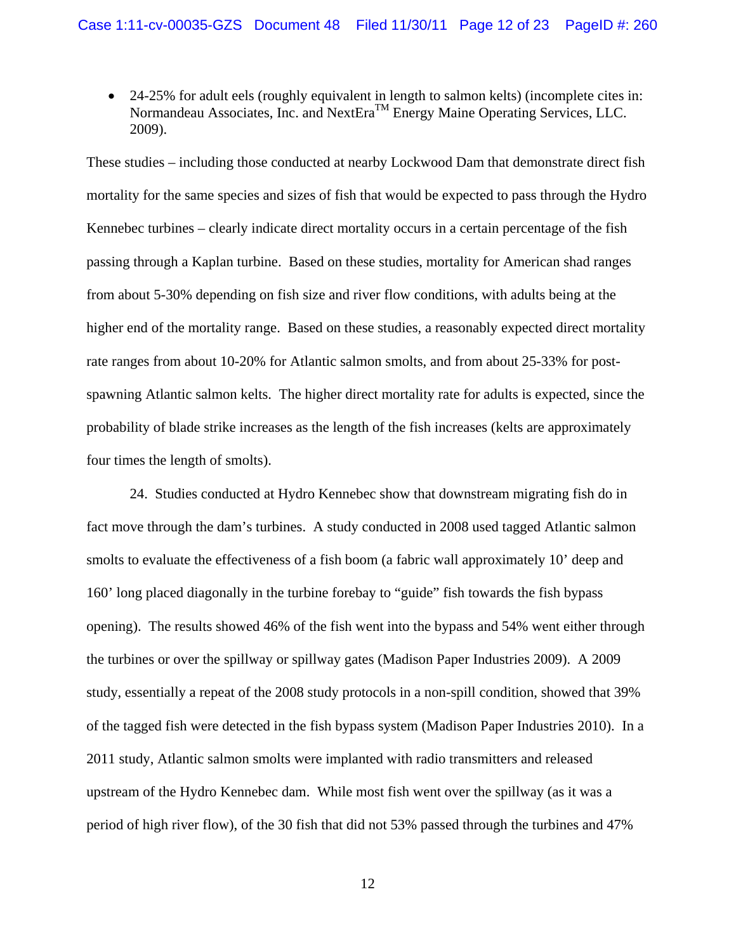24-25% for adult eels (roughly equivalent in length to salmon kelts) (incomplete cites in: Normandeau Associates, Inc. and NextEra<sup>TM</sup> Energy Maine Operating Services, LLC. 2009).

These studies – including those conducted at nearby Lockwood Dam that demonstrate direct fish mortality for the same species and sizes of fish that would be expected to pass through the Hydro Kennebec turbines – clearly indicate direct mortality occurs in a certain percentage of the fish passing through a Kaplan turbine. Based on these studies, mortality for American shad ranges from about 5-30% depending on fish size and river flow conditions, with adults being at the higher end of the mortality range. Based on these studies, a reasonably expected direct mortality rate ranges from about 10-20% for Atlantic salmon smolts, and from about 25-33% for postspawning Atlantic salmon kelts. The higher direct mortality rate for adults is expected, since the probability of blade strike increases as the length of the fish increases (kelts are approximately four times the length of smolts).

 24. Studies conducted at Hydro Kennebec show that downstream migrating fish do in fact move through the dam's turbines. A study conducted in 2008 used tagged Atlantic salmon smolts to evaluate the effectiveness of a fish boom (a fabric wall approximately 10' deep and 160' long placed diagonally in the turbine forebay to "guide" fish towards the fish bypass opening). The results showed 46% of the fish went into the bypass and 54% went either through the turbines or over the spillway or spillway gates (Madison Paper Industries 2009). A 2009 study, essentially a repeat of the 2008 study protocols in a non-spill condition, showed that 39% of the tagged fish were detected in the fish bypass system (Madison Paper Industries 2010). In a 2011 study, Atlantic salmon smolts were implanted with radio transmitters and released upstream of the Hydro Kennebec dam. While most fish went over the spillway (as it was a period of high river flow), of the 30 fish that did not 53% passed through the turbines and 47%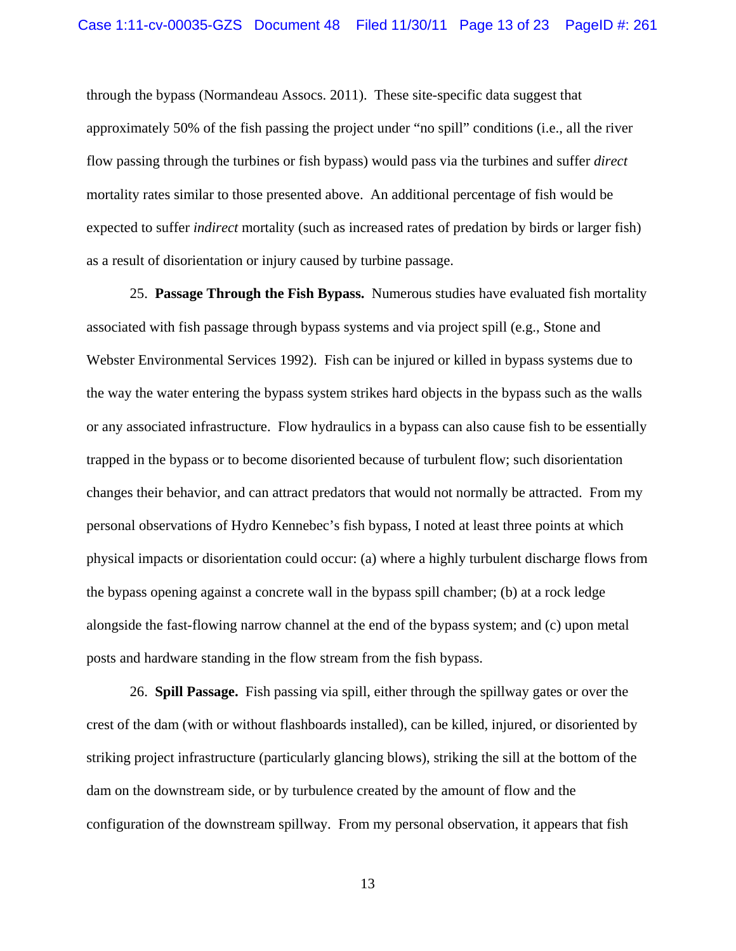through the bypass (Normandeau Assocs. 2011). These site-specific data suggest that approximately 50% of the fish passing the project under "no spill" conditions (i.e., all the river flow passing through the turbines or fish bypass) would pass via the turbines and suffer *direct* mortality rates similar to those presented above. An additional percentage of fish would be expected to suffer *indirect* mortality (such as increased rates of predation by birds or larger fish) as a result of disorientation or injury caused by turbine passage.

 25. **Passage Through the Fish Bypass.** Numerous studies have evaluated fish mortality associated with fish passage through bypass systems and via project spill (e.g., Stone and Webster Environmental Services 1992). Fish can be injured or killed in bypass systems due to the way the water entering the bypass system strikes hard objects in the bypass such as the walls or any associated infrastructure. Flow hydraulics in a bypass can also cause fish to be essentially trapped in the bypass or to become disoriented because of turbulent flow; such disorientation changes their behavior, and can attract predators that would not normally be attracted. From my personal observations of Hydro Kennebec's fish bypass, I noted at least three points at which physical impacts or disorientation could occur: (a) where a highly turbulent discharge flows from the bypass opening against a concrete wall in the bypass spill chamber; (b) at a rock ledge alongside the fast-flowing narrow channel at the end of the bypass system; and (c) upon metal posts and hardware standing in the flow stream from the fish bypass.

 26. **Spill Passage.** Fish passing via spill, either through the spillway gates or over the crest of the dam (with or without flashboards installed), can be killed, injured, or disoriented by striking project infrastructure (particularly glancing blows), striking the sill at the bottom of the dam on the downstream side, or by turbulence created by the amount of flow and the configuration of the downstream spillway. From my personal observation, it appears that fish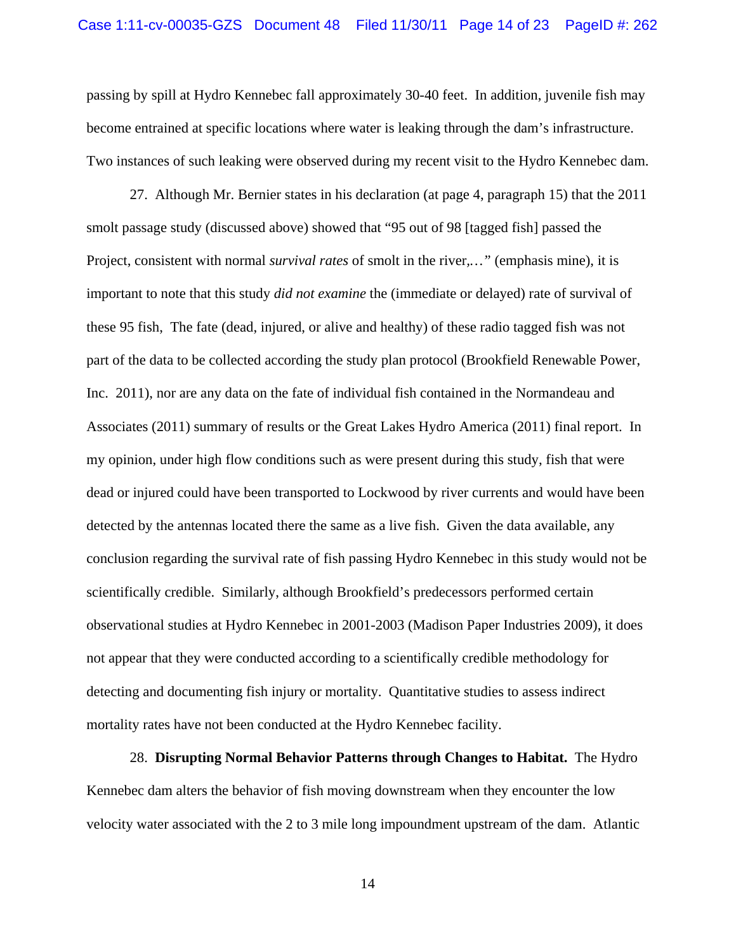passing by spill at Hydro Kennebec fall approximately 30-40 feet. In addition, juvenile fish may become entrained at specific locations where water is leaking through the dam's infrastructure. Two instances of such leaking were observed during my recent visit to the Hydro Kennebec dam.

 27. Although Mr. Bernier states in his declaration (at page 4, paragraph 15) that the 2011 smolt passage study (discussed above) showed that "95 out of 98 [tagged fish] passed the Project, consistent with normal *survival rates* of smolt in the river*,…"* (emphasis mine), it is important to note that this study *did not examine* the (immediate or delayed) rate of survival of these 95 fish, The fate (dead, injured, or alive and healthy) of these radio tagged fish was not part of the data to be collected according the study plan protocol (Brookfield Renewable Power, Inc. 2011), nor are any data on the fate of individual fish contained in the Normandeau and Associates (2011) summary of results or the Great Lakes Hydro America (2011) final report. In my opinion, under high flow conditions such as were present during this study, fish that were dead or injured could have been transported to Lockwood by river currents and would have been detected by the antennas located there the same as a live fish. Given the data available, any conclusion regarding the survival rate of fish passing Hydro Kennebec in this study would not be scientifically credible. Similarly, although Brookfield's predecessors performed certain observational studies at Hydro Kennebec in 2001-2003 (Madison Paper Industries 2009), it does not appear that they were conducted according to a scientifically credible methodology for detecting and documenting fish injury or mortality. Quantitative studies to assess indirect mortality rates have not been conducted at the Hydro Kennebec facility.

 28. **Disrupting Normal Behavior Patterns through Changes to Habitat.** The Hydro Kennebec dam alters the behavior of fish moving downstream when they encounter the low velocity water associated with the 2 to 3 mile long impoundment upstream of the dam. Atlantic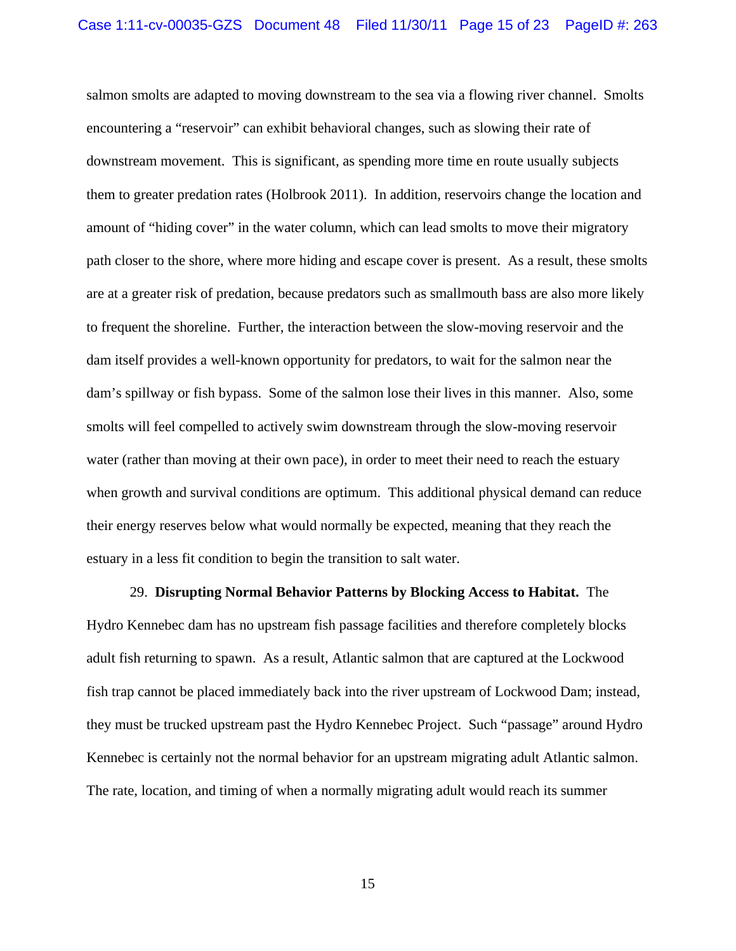salmon smolts are adapted to moving downstream to the sea via a flowing river channel. Smolts encountering a "reservoir" can exhibit behavioral changes, such as slowing their rate of downstream movement. This is significant, as spending more time en route usually subjects them to greater predation rates (Holbrook 2011). In addition, reservoirs change the location and amount of "hiding cover" in the water column, which can lead smolts to move their migratory path closer to the shore, where more hiding and escape cover is present. As a result, these smolts are at a greater risk of predation, because predators such as smallmouth bass are also more likely to frequent the shoreline. Further, the interaction between the slow-moving reservoir and the dam itself provides a well-known opportunity for predators, to wait for the salmon near the dam's spillway or fish bypass. Some of the salmon lose their lives in this manner. Also, some smolts will feel compelled to actively swim downstream through the slow-moving reservoir water (rather than moving at their own pace), in order to meet their need to reach the estuary when growth and survival conditions are optimum. This additional physical demand can reduce their energy reserves below what would normally be expected, meaning that they reach the estuary in a less fit condition to begin the transition to salt water.

 29. **Disrupting Normal Behavior Patterns by Blocking Access to Habitat.** The Hydro Kennebec dam has no upstream fish passage facilities and therefore completely blocks adult fish returning to spawn. As a result, Atlantic salmon that are captured at the Lockwood fish trap cannot be placed immediately back into the river upstream of Lockwood Dam; instead, they must be trucked upstream past the Hydro Kennebec Project. Such "passage" around Hydro Kennebec is certainly not the normal behavior for an upstream migrating adult Atlantic salmon. The rate, location, and timing of when a normally migrating adult would reach its summer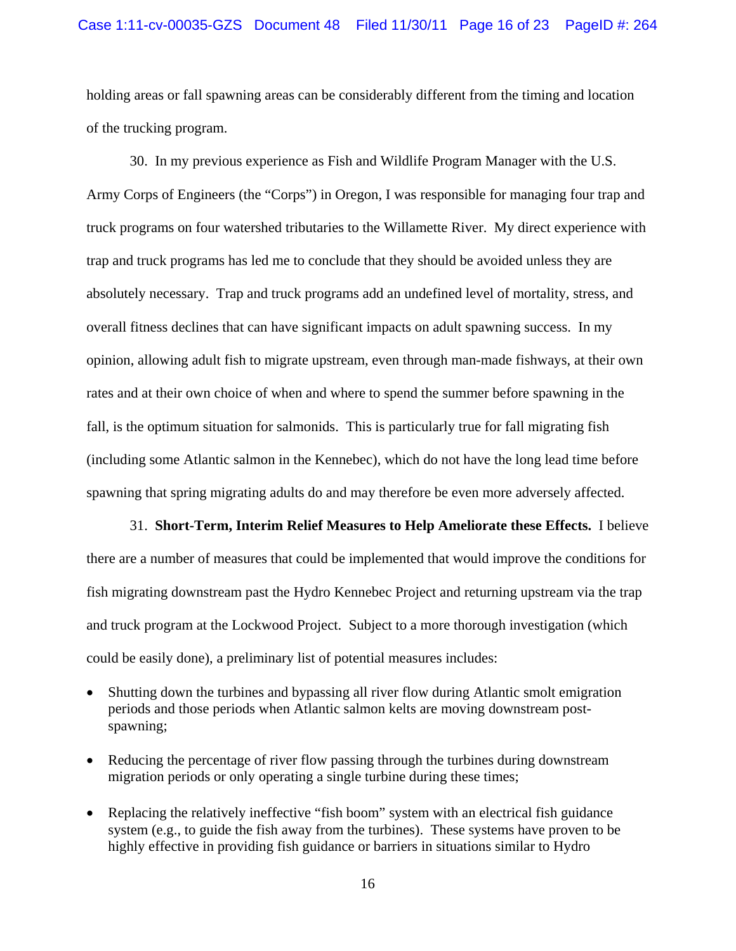holding areas or fall spawning areas can be considerably different from the timing and location of the trucking program.

 30. In my previous experience as Fish and Wildlife Program Manager with the U.S. Army Corps of Engineers (the "Corps") in Oregon, I was responsible for managing four trap and truck programs on four watershed tributaries to the Willamette River. My direct experience with trap and truck programs has led me to conclude that they should be avoided unless they are absolutely necessary. Trap and truck programs add an undefined level of mortality, stress, and overall fitness declines that can have significant impacts on adult spawning success. In my opinion, allowing adult fish to migrate upstream, even through man-made fishways, at their own rates and at their own choice of when and where to spend the summer before spawning in the fall, is the optimum situation for salmonids. This is particularly true for fall migrating fish (including some Atlantic salmon in the Kennebec), which do not have the long lead time before spawning that spring migrating adults do and may therefore be even more adversely affected.

 31. **Short-Term, Interim Relief Measures to Help Ameliorate these Effects.** I believe there are a number of measures that could be implemented that would improve the conditions for fish migrating downstream past the Hydro Kennebec Project and returning upstream via the trap and truck program at the Lockwood Project. Subject to a more thorough investigation (which could be easily done), a preliminary list of potential measures includes:

- Shutting down the turbines and bypassing all river flow during Atlantic smolt emigration periods and those periods when Atlantic salmon kelts are moving downstream postspawning;
- Reducing the percentage of river flow passing through the turbines during downstream migration periods or only operating a single turbine during these times;
- Replacing the relatively ineffective "fish boom" system with an electrical fish guidance system (e.g., to guide the fish away from the turbines). These systems have proven to be highly effective in providing fish guidance or barriers in situations similar to Hydro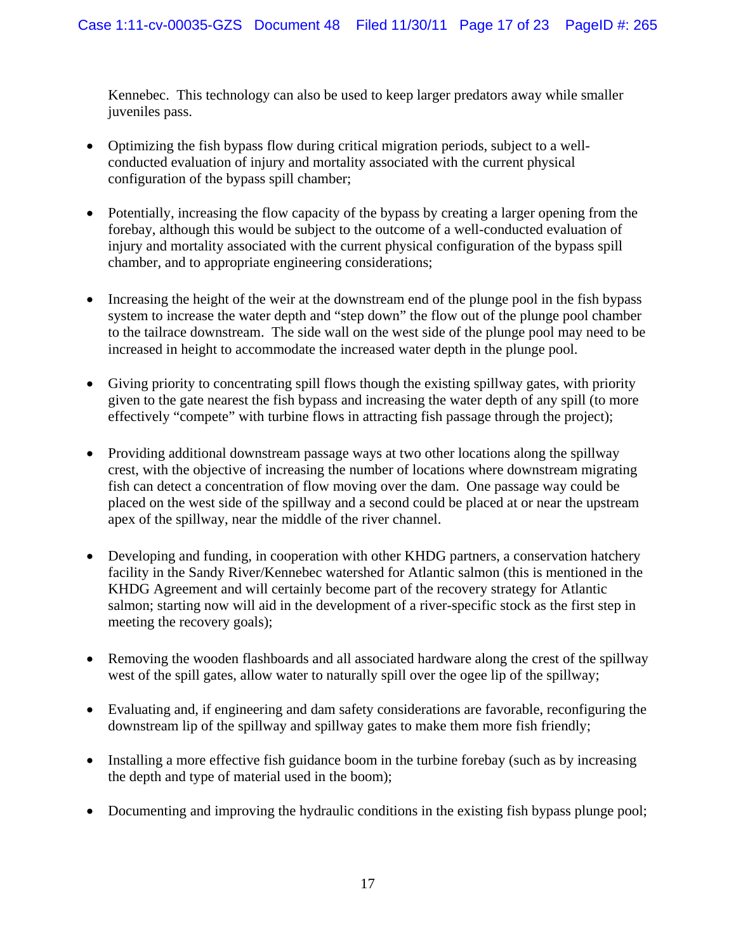Kennebec. This technology can also be used to keep larger predators away while smaller juveniles pass.

- Optimizing the fish bypass flow during critical migration periods, subject to a wellconducted evaluation of injury and mortality associated with the current physical configuration of the bypass spill chamber;
- Potentially, increasing the flow capacity of the bypass by creating a larger opening from the forebay, although this would be subject to the outcome of a well-conducted evaluation of injury and mortality associated with the current physical configuration of the bypass spill chamber, and to appropriate engineering considerations;
- Increasing the height of the weir at the downstream end of the plunge pool in the fish bypass system to increase the water depth and "step down" the flow out of the plunge pool chamber to the tailrace downstream. The side wall on the west side of the plunge pool may need to be increased in height to accommodate the increased water depth in the plunge pool.
- Giving priority to concentrating spill flows though the existing spillway gates, with priority given to the gate nearest the fish bypass and increasing the water depth of any spill (to more effectively "compete" with turbine flows in attracting fish passage through the project);
- Providing additional downstream passage ways at two other locations along the spillway crest, with the objective of increasing the number of locations where downstream migrating fish can detect a concentration of flow moving over the dam. One passage way could be placed on the west side of the spillway and a second could be placed at or near the upstream apex of the spillway, near the middle of the river channel.
- Developing and funding, in cooperation with other KHDG partners, a conservation hatchery facility in the Sandy River/Kennebec watershed for Atlantic salmon (this is mentioned in the KHDG Agreement and will certainly become part of the recovery strategy for Atlantic salmon; starting now will aid in the development of a river-specific stock as the first step in meeting the recovery goals);
- Removing the wooden flashboards and all associated hardware along the crest of the spillway west of the spill gates, allow water to naturally spill over the ogee lip of the spillway;
- Evaluating and, if engineering and dam safety considerations are favorable, reconfiguring the downstream lip of the spillway and spillway gates to make them more fish friendly;
- Installing a more effective fish guidance boom in the turbine forebay (such as by increasing the depth and type of material used in the boom);
- Documenting and improving the hydraulic conditions in the existing fish bypass plunge pool;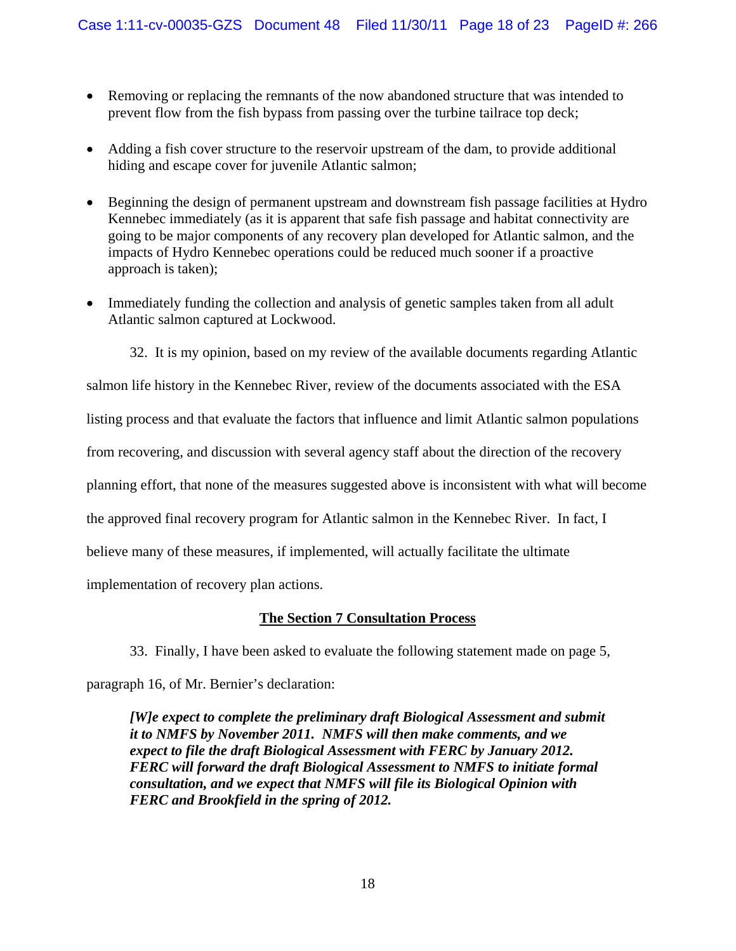- Removing or replacing the remnants of the now abandoned structure that was intended to prevent flow from the fish bypass from passing over the turbine tailrace top deck;
- Adding a fish cover structure to the reservoir upstream of the dam, to provide additional hiding and escape cover for juvenile Atlantic salmon;
- Beginning the design of permanent upstream and downstream fish passage facilities at Hydro Kennebec immediately (as it is apparent that safe fish passage and habitat connectivity are going to be major components of any recovery plan developed for Atlantic salmon, and the impacts of Hydro Kennebec operations could be reduced much sooner if a proactive approach is taken);
- Immediately funding the collection and analysis of genetic samples taken from all adult Atlantic salmon captured at Lockwood.

32. It is my opinion, based on my review of the available documents regarding Atlantic salmon life history in the Kennebec River, review of the documents associated with the ESA listing process and that evaluate the factors that influence and limit Atlantic salmon populations from recovering, and discussion with several agency staff about the direction of the recovery planning effort, that none of the measures suggested above is inconsistent with what will become the approved final recovery program for Atlantic salmon in the Kennebec River. In fact, I believe many of these measures, if implemented, will actually facilitate the ultimate implementation of recovery plan actions.

# **The Section 7 Consultation Process**

33. Finally, I have been asked to evaluate the following statement made on page 5,

paragraph 16, of Mr. Bernier's declaration:

*[W]e expect to complete the preliminary draft Biological Assessment and submit it to NMFS by November 2011. NMFS will then make comments, and we expect to file the draft Biological Assessment with FERC by January 2012. FERC will forward the draft Biological Assessment to NMFS to initiate formal consultation, and we expect that NMFS will file its Biological Opinion with FERC and Brookfield in the spring of 2012.*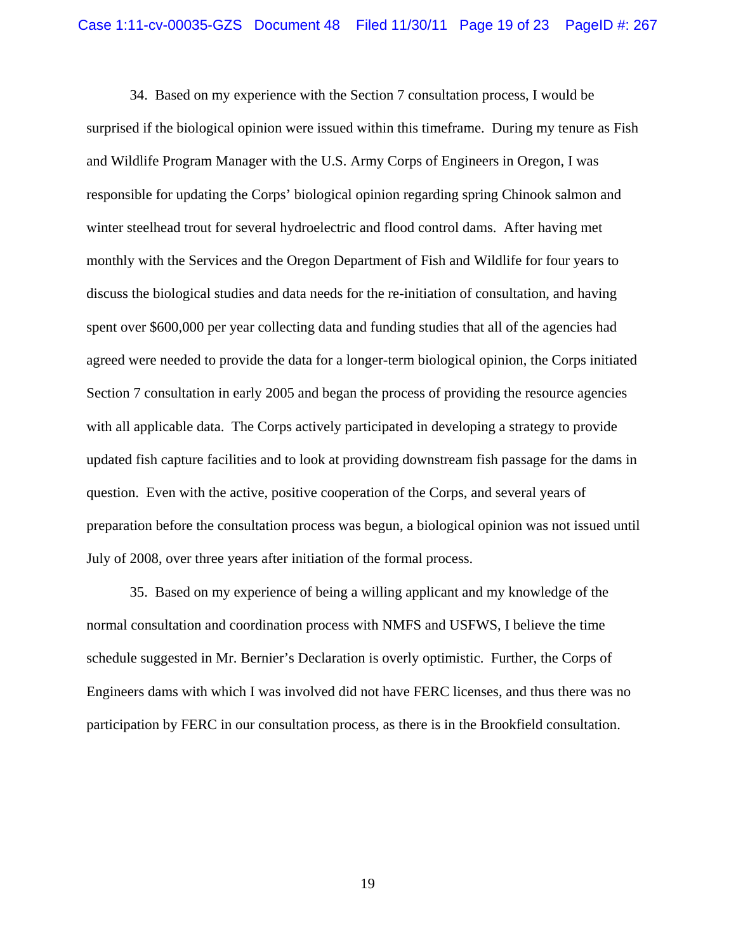34. Based on my experience with the Section 7 consultation process, I would be surprised if the biological opinion were issued within this timeframe. During my tenure as Fish and Wildlife Program Manager with the U.S. Army Corps of Engineers in Oregon, I was responsible for updating the Corps' biological opinion regarding spring Chinook salmon and winter steelhead trout for several hydroelectric and flood control dams. After having met monthly with the Services and the Oregon Department of Fish and Wildlife for four years to discuss the biological studies and data needs for the re-initiation of consultation, and having spent over \$600,000 per year collecting data and funding studies that all of the agencies had agreed were needed to provide the data for a longer-term biological opinion, the Corps initiated Section 7 consultation in early 2005 and began the process of providing the resource agencies with all applicable data. The Corps actively participated in developing a strategy to provide updated fish capture facilities and to look at providing downstream fish passage for the dams in question. Even with the active, positive cooperation of the Corps, and several years of preparation before the consultation process was begun, a biological opinion was not issued until July of 2008, over three years after initiation of the formal process.

 35. Based on my experience of being a willing applicant and my knowledge of the normal consultation and coordination process with NMFS and USFWS, I believe the time schedule suggested in Mr. Bernier's Declaration is overly optimistic. Further, the Corps of Engineers dams with which I was involved did not have FERC licenses, and thus there was no participation by FERC in our consultation process, as there is in the Brookfield consultation.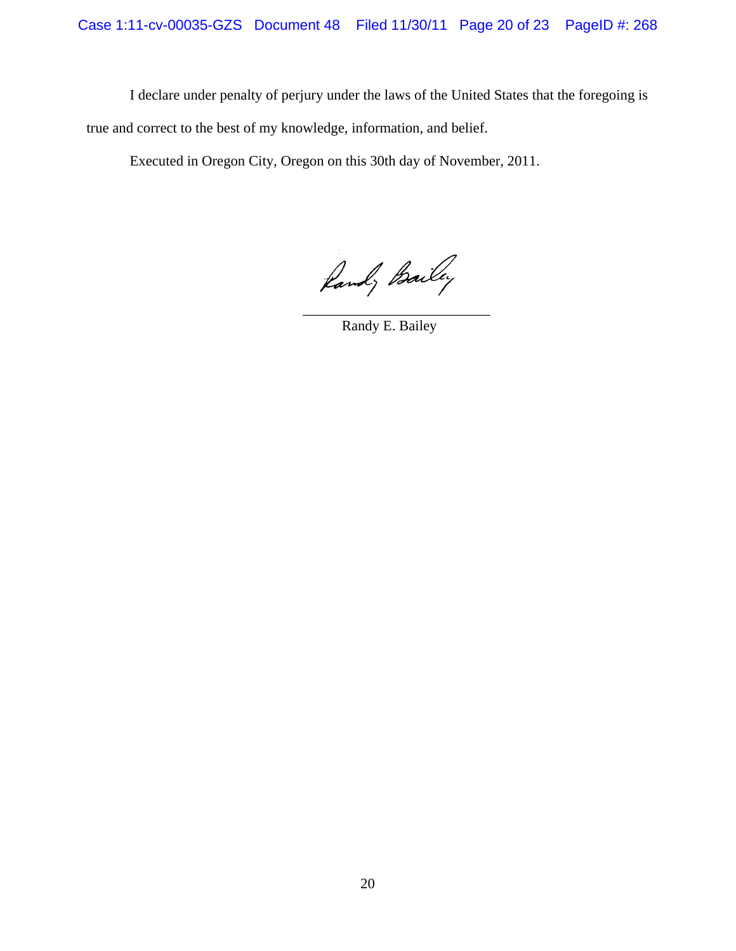I declare under penalty of perjury under the laws of the United States that the foregoing is true and correct to the best of my knowledge, information, and belief.

Executed in Oregon City, Oregon on this 30th day of November, 2011.

 $\mathcal{L}_\text{max}$  , and the contract of the contract of the contract of the contract of the contract of the contract of the contract of the contract of the contract of the contract of the contract of the contract of the contr

Rand, Bailey

Randy E. Bailey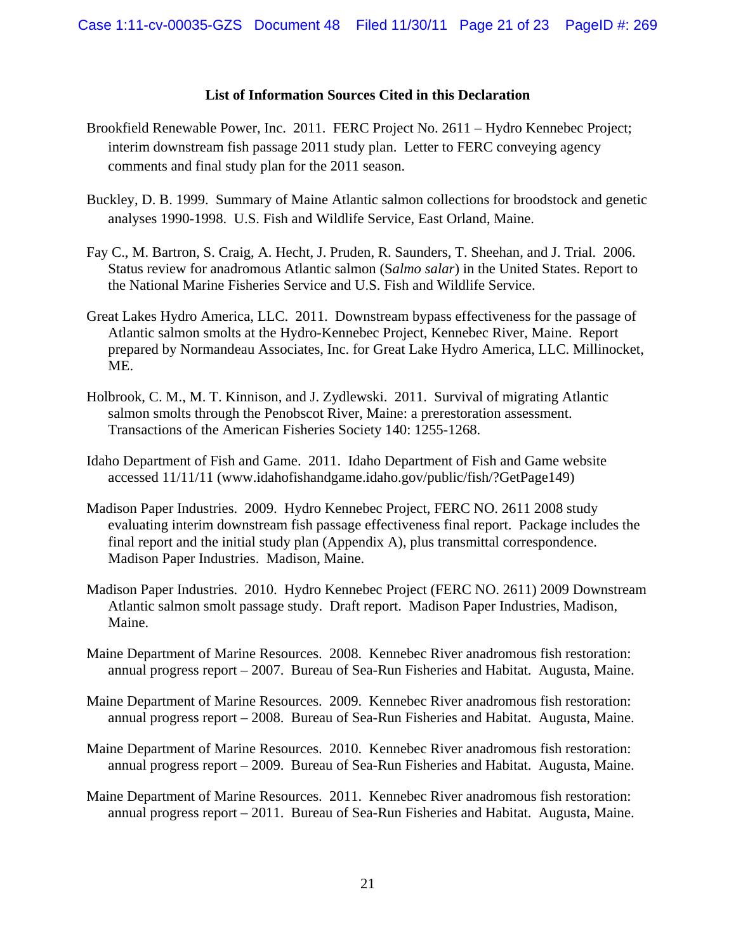## **List of Information Sources Cited in this Declaration**

- Brookfield Renewable Power, Inc. 2011. FERC Project No. 2611 Hydro Kennebec Project; interim downstream fish passage 2011 study plan. Letter to FERC conveying agency comments and final study plan for the 2011 season.
- Buckley, D. B. 1999. Summary of Maine Atlantic salmon collections for broodstock and genetic analyses 1990-1998. U.S. Fish and Wildlife Service, East Orland, Maine.
- Fay C., M. Bartron, S. Craig, A. Hecht, J. Pruden, R. Saunders, T. Sheehan, and J. Trial. 2006. Status review for anadromous Atlantic salmon (S*almo salar*) in the United States. Report to the National Marine Fisheries Service and U.S. Fish and Wildlife Service.
- Great Lakes Hydro America, LLC. 2011. Downstream bypass effectiveness for the passage of Atlantic salmon smolts at the Hydro-Kennebec Project, Kennebec River, Maine. Report prepared by Normandeau Associates, Inc. for Great Lake Hydro America, LLC. Millinocket, ME.
- Holbrook, C. M., M. T. Kinnison, and J. Zydlewski. 2011. Survival of migrating Atlantic salmon smolts through the Penobscot River, Maine: a prerestoration assessment. Transactions of the American Fisheries Society 140: 1255-1268.
- Idaho Department of Fish and Game. 2011. Idaho Department of Fish and Game website accessed 11/11/11 (www.idahofishandgame.idaho.gov/public/fish/?GetPage149)
- Madison Paper Industries. 2009. Hydro Kennebec Project, FERC NO. 2611 2008 study evaluating interim downstream fish passage effectiveness final report. Package includes the final report and the initial study plan (Appendix A), plus transmittal correspondence. Madison Paper Industries. Madison, Maine.
- Madison Paper Industries. 2010. Hydro Kennebec Project (FERC NO. 2611) 2009 Downstream Atlantic salmon smolt passage study. Draft report. Madison Paper Industries, Madison, Maine.
- Maine Department of Marine Resources. 2008. Kennebec River anadromous fish restoration: annual progress report – 2007. Bureau of Sea-Run Fisheries and Habitat. Augusta, Maine.
- Maine Department of Marine Resources. 2009. Kennebec River anadromous fish restoration: annual progress report – 2008. Bureau of Sea-Run Fisheries and Habitat. Augusta, Maine.
- Maine Department of Marine Resources. 2010. Kennebec River anadromous fish restoration: annual progress report – 2009. Bureau of Sea-Run Fisheries and Habitat. Augusta, Maine.
- Maine Department of Marine Resources. 2011. Kennebec River anadromous fish restoration: annual progress report – 2011. Bureau of Sea-Run Fisheries and Habitat. Augusta, Maine.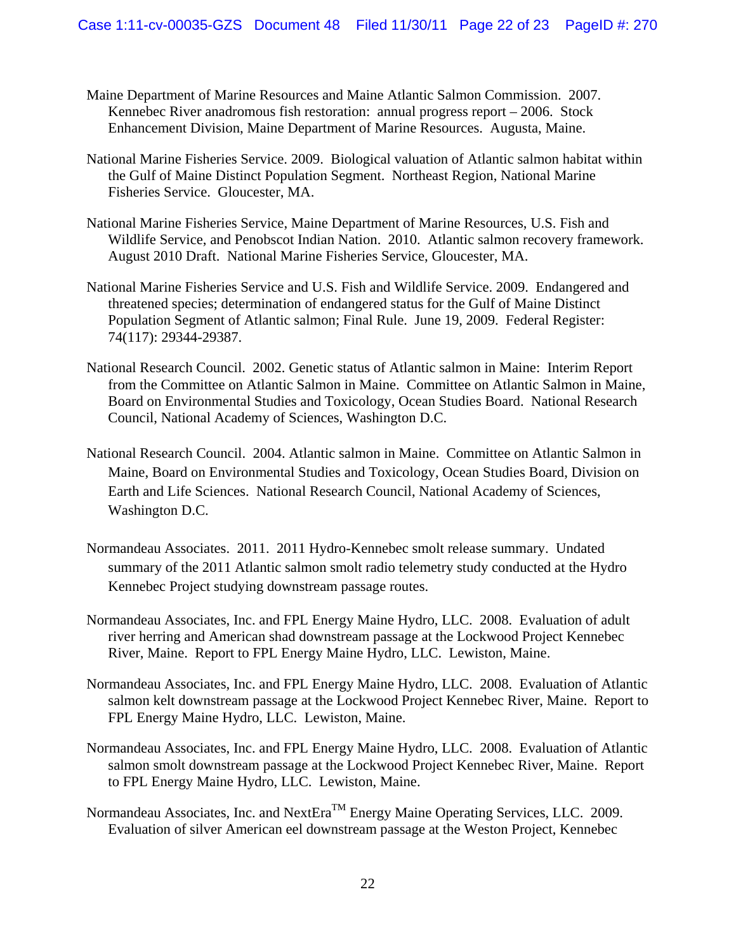- Maine Department of Marine Resources and Maine Atlantic Salmon Commission. 2007. Kennebec River anadromous fish restoration: annual progress report – 2006. Stock Enhancement Division, Maine Department of Marine Resources. Augusta, Maine.
- National Marine Fisheries Service. 2009. Biological valuation of Atlantic salmon habitat within the Gulf of Maine Distinct Population Segment. Northeast Region, National Marine Fisheries Service. Gloucester, MA.
- National Marine Fisheries Service, Maine Department of Marine Resources, U.S. Fish and Wildlife Service, and Penobscot Indian Nation. 2010. Atlantic salmon recovery framework. August 2010 Draft. National Marine Fisheries Service, Gloucester, MA.
- National Marine Fisheries Service and U.S. Fish and Wildlife Service. 2009. Endangered and threatened species; determination of endangered status for the Gulf of Maine Distinct Population Segment of Atlantic salmon; Final Rule. June 19, 2009. Federal Register: 74(117): 29344-29387.
- National Research Council. 2002. Genetic status of Atlantic salmon in Maine: Interim Report from the Committee on Atlantic Salmon in Maine. Committee on Atlantic Salmon in Maine, Board on Environmental Studies and Toxicology, Ocean Studies Board. National Research Council, National Academy of Sciences, Washington D.C.
- National Research Council. 2004. Atlantic salmon in Maine. Committee on Atlantic Salmon in Maine, Board on Environmental Studies and Toxicology, Ocean Studies Board, Division on Earth and Life Sciences. National Research Council, National Academy of Sciences, Washington D.C.
- Normandeau Associates. 2011. 2011 Hydro-Kennebec smolt release summary. Undated summary of the 2011 Atlantic salmon smolt radio telemetry study conducted at the Hydro Kennebec Project studying downstream passage routes.
- Normandeau Associates, Inc. and FPL Energy Maine Hydro, LLC. 2008. Evaluation of adult river herring and American shad downstream passage at the Lockwood Project Kennebec River, Maine. Report to FPL Energy Maine Hydro, LLC. Lewiston, Maine.
- Normandeau Associates, Inc. and FPL Energy Maine Hydro, LLC. 2008. Evaluation of Atlantic salmon kelt downstream passage at the Lockwood Project Kennebec River, Maine. Report to FPL Energy Maine Hydro, LLC. Lewiston, Maine.
- Normandeau Associates, Inc. and FPL Energy Maine Hydro, LLC. 2008. Evaluation of Atlantic salmon smolt downstream passage at the Lockwood Project Kennebec River, Maine. Report to FPL Energy Maine Hydro, LLC. Lewiston, Maine.
- Normandeau Associates, Inc. and NextEra<sup>TM</sup> Energy Maine Operating Services, LLC. 2009. Evaluation of silver American eel downstream passage at the Weston Project, Kennebec